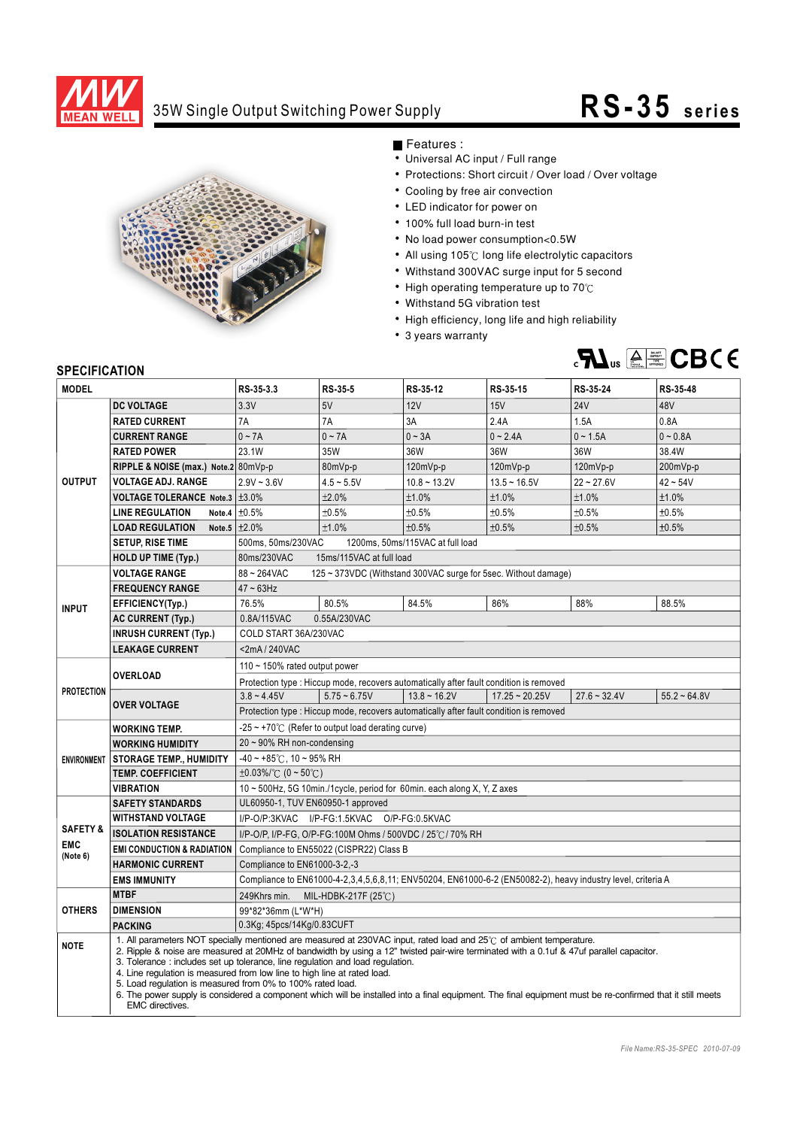

## 35W Single Output Switching Power Supply **RS-35 seri es**



Features :

- Universal AC input / Full range
- Protections: Short circuit / Over load / Over voltage
- Cooling by free air convection
- LED indicator for power on
- 100% full load burn-in test
- No load power consumption<0.5W
- All using 105°C long life electrolytic capacitors
- Withstand 300VAC surge input for 5 second
- $\cdot$  High operating temperature up to 70 $\degree$ C
- Withstand 5G vibration test
- High efficiency, long life and high reliability
- 3 years warranty



## **SPECIFICATION**

| <b>MODEL</b>        |                                                                                                                                                                                                                                                                                                                                                                                                                                                                                                                                                                                                                                                                                     | RS-35-3.3                                                                              | RS-35-5        | RS-35-12                                                                               | RS-35-15         | RS-35-24       | RS-35-48       |
|---------------------|-------------------------------------------------------------------------------------------------------------------------------------------------------------------------------------------------------------------------------------------------------------------------------------------------------------------------------------------------------------------------------------------------------------------------------------------------------------------------------------------------------------------------------------------------------------------------------------------------------------------------------------------------------------------------------------|----------------------------------------------------------------------------------------|----------------|----------------------------------------------------------------------------------------|------------------|----------------|----------------|
| <b>OUTPUT</b>       | <b>DC VOLTAGE</b>                                                                                                                                                                                                                                                                                                                                                                                                                                                                                                                                                                                                                                                                   | 3.3V                                                                                   | 5V             | <b>12V</b>                                                                             | 15V              | <b>24V</b>     | 48V            |
|                     | <b>RATED CURRENT</b>                                                                                                                                                                                                                                                                                                                                                                                                                                                                                                                                                                                                                                                                | 7A                                                                                     | 7A             | 3A                                                                                     | 2.4A             | 1.5A           | 0.8A           |
|                     | <b>CURRENT RANGE</b>                                                                                                                                                                                                                                                                                                                                                                                                                                                                                                                                                                                                                                                                | $0 \sim 7A$                                                                            | $0 - 7A$       | $0 - 3A$                                                                               | $0 - 2.4A$       | $0 - 1.5A$     | $0 - 0.8A$     |
|                     | <b>RATED POWER</b>                                                                                                                                                                                                                                                                                                                                                                                                                                                                                                                                                                                                                                                                  | 23.1W                                                                                  | 35W            | 36W                                                                                    | 36W              | 36W            | 38.4W          |
|                     | RIPPLE & NOISE (max.) Note.2 80mVp-p                                                                                                                                                                                                                                                                                                                                                                                                                                                                                                                                                                                                                                                |                                                                                        | 80mVp-p        | 120mVp-p                                                                               | 120mVp-p         | 120mVp-p       | 200mVp-p       |
|                     | <b>VOLTAGE ADJ. RANGE</b>                                                                                                                                                                                                                                                                                                                                                                                                                                                                                                                                                                                                                                                           | $2.9V - 3.6V$                                                                          | $4.5 - 5.5V$   | $10.8 - 13.2V$                                                                         | $13.5 - 16.5V$   | $22 - 27.6V$   | $42 - 54V$     |
|                     | VOLTAGE TOLERANCE Note.3   ±3.0%                                                                                                                                                                                                                                                                                                                                                                                                                                                                                                                                                                                                                                                    |                                                                                        | ±2.0%          | ±1.0%                                                                                  | $±1.0\%$         | ±1.0%          | ±1.0%          |
|                     | <b>LINE REGULATION</b><br>Note.4                                                                                                                                                                                                                                                                                                                                                                                                                                                                                                                                                                                                                                                    | ±0.5%                                                                                  | ±0.5%          | ±0.5%                                                                                  | ±0.5%            | ±0.5%          | ±0.5%          |
|                     | <b>LOAD REGULATION</b>                                                                                                                                                                                                                                                                                                                                                                                                                                                                                                                                                                                                                                                              | Note.5 $\pm 2.0\%$                                                                     | ±1.0%          | ±0.5%                                                                                  | ±0.5%            | ±0.5%          | ±0.5%          |
|                     | <b>SETUP, RISE TIME</b>                                                                                                                                                                                                                                                                                                                                                                                                                                                                                                                                                                                                                                                             | 500ms, 50ms/230VAC<br>1200ms, 50ms/115VAC at full load                                 |                |                                                                                        |                  |                |                |
|                     | <b>HOLD UP TIME (Typ.)</b>                                                                                                                                                                                                                                                                                                                                                                                                                                                                                                                                                                                                                                                          | 15ms/115VAC at full load<br>80ms/230VAC                                                |                |                                                                                        |                  |                |                |
| <b>INPUT</b>        | <b>VOLTAGE RANGE</b>                                                                                                                                                                                                                                                                                                                                                                                                                                                                                                                                                                                                                                                                | 88~264VAC<br>125 ~ 373VDC (Withstand 300VAC surge for 5sec. Without damage)            |                |                                                                                        |                  |                |                |
|                     | <b>FREQUENCY RANGE</b>                                                                                                                                                                                                                                                                                                                                                                                                                                                                                                                                                                                                                                                              | $47 \sim 63$ Hz                                                                        |                |                                                                                        |                  |                |                |
|                     | EFFICIENCY(Typ.)                                                                                                                                                                                                                                                                                                                                                                                                                                                                                                                                                                                                                                                                    | 76.5%                                                                                  | 80.5%          | 84.5%                                                                                  | 86%              | 88%            | 88.5%          |
|                     | <b>AC CURRENT (Typ.)</b>                                                                                                                                                                                                                                                                                                                                                                                                                                                                                                                                                                                                                                                            | 0.8A/115VAC<br>0.55A/230VAC                                                            |                |                                                                                        |                  |                |                |
|                     | <b>INRUSH CURRENT (Typ.)</b>                                                                                                                                                                                                                                                                                                                                                                                                                                                                                                                                                                                                                                                        | COLD START 36A/230VAC                                                                  |                |                                                                                        |                  |                |                |
|                     | <b>LEAKAGE CURRENT</b>                                                                                                                                                                                                                                                                                                                                                                                                                                                                                                                                                                                                                                                              | $<$ 2mA/240VAC                                                                         |                |                                                                                        |                  |                |                |
| <b>PROTECTION</b>   | OVERLOAD                                                                                                                                                                                                                                                                                                                                                                                                                                                                                                                                                                                                                                                                            | 110 $\sim$ 150% rated output power                                                     |                |                                                                                        |                  |                |                |
|                     |                                                                                                                                                                                                                                                                                                                                                                                                                                                                                                                                                                                                                                                                                     |                                                                                        |                | Protection type : Hiccup mode, recovers automatically after fault condition is removed |                  |                |                |
|                     | <b>OVER VOLTAGE</b>                                                                                                                                                                                                                                                                                                                                                                                                                                                                                                                                                                                                                                                                 | $3.8 - 4.45V$                                                                          | $5.75 - 6.75V$ | $13.8 \sim 16.2V$                                                                      | $17.25 - 20.25V$ | $27.6 - 32.4V$ | $55.2 - 64.8V$ |
|                     |                                                                                                                                                                                                                                                                                                                                                                                                                                                                                                                                                                                                                                                                                     | Protection type : Hiccup mode, recovers automatically after fault condition is removed |                |                                                                                        |                  |                |                |
|                     | <b>WORKING TEMP.</b>                                                                                                                                                                                                                                                                                                                                                                                                                                                                                                                                                                                                                                                                | $-25 \sim +70^{\circ}$ (Refer to output load derating curve)                           |                |                                                                                        |                  |                |                |
|                     | <b>WORKING HUMIDITY</b>                                                                                                                                                                                                                                                                                                                                                                                                                                                                                                                                                                                                                                                             | $20 \sim 90\%$ RH non-condensing                                                       |                |                                                                                        |                  |                |                |
|                     | <b>ENVIRONMENT STORAGE TEMP., HUMIDITY</b>                                                                                                                                                                                                                                                                                                                                                                                                                                                                                                                                                                                                                                          | $-40 \sim +85^{\circ}$ C, 10 ~ 95% RH                                                  |                |                                                                                        |                  |                |                |
|                     | <b>TEMP. COEFFICIENT</b>                                                                                                                                                                                                                                                                                                                                                                                                                                                                                                                                                                                                                                                            | $\pm 0.03\%$ (0 ~ 50°C)                                                                |                |                                                                                        |                  |                |                |
|                     | <b>VIBRATION</b>                                                                                                                                                                                                                                                                                                                                                                                                                                                                                                                                                                                                                                                                    | 10 ~ 500Hz, 5G 10min./1cycle, period for 60min. each along X, Y, Z axes                |                |                                                                                        |                  |                |                |
|                     | <b>SAFETY STANDARDS</b>                                                                                                                                                                                                                                                                                                                                                                                                                                                                                                                                                                                                                                                             | UL60950-1, TUV EN60950-1 approved                                                      |                |                                                                                        |                  |                |                |
| <b>SAFETY &amp;</b> | <b>WITHSTAND VOLTAGE</b>                                                                                                                                                                                                                                                                                                                                                                                                                                                                                                                                                                                                                                                            | I/P-O/P:3KVAC I/P-FG:1.5KVAC O/P-FG:0.5KVAC                                            |                |                                                                                        |                  |                |                |
| <b>EMC</b>          | <b>ISOLATION RESISTANCE</b>                                                                                                                                                                                                                                                                                                                                                                                                                                                                                                                                                                                                                                                         | I/P-O/P, I/P-FG, O/P-FG:100M Ohms / 500VDC / 25°C / 70% RH                             |                |                                                                                        |                  |                |                |
| (Note 6)            | <b>EMI CONDUCTION &amp; RADIATION</b>                                                                                                                                                                                                                                                                                                                                                                                                                                                                                                                                                                                                                                               | Compliance to EN55022 (CISPR22) Class B                                                |                |                                                                                        |                  |                |                |
|                     | <b>HARMONIC CURRENT</b>                                                                                                                                                                                                                                                                                                                                                                                                                                                                                                                                                                                                                                                             | Compliance to EN61000-3-2,-3                                                           |                |                                                                                        |                  |                |                |
|                     | Compliance to EN61000-4-2,3,4,5,6,8,11; ENV50204, EN61000-6-2 (EN50082-2), heavy industry level, criteria A<br><b>EMS IMMUNITY</b>                                                                                                                                                                                                                                                                                                                                                                                                                                                                                                                                                  |                                                                                        |                |                                                                                        |                  |                |                |
| <b>OTHERS</b>       | <b>MTBF</b>                                                                                                                                                                                                                                                                                                                                                                                                                                                                                                                                                                                                                                                                         | 249Khrs min. MIL-HDBK-217F (25°C)                                                      |                |                                                                                        |                  |                |                |
|                     | <b>DIMENSION</b>                                                                                                                                                                                                                                                                                                                                                                                                                                                                                                                                                                                                                                                                    | 99*82*36mm (L*W*H)                                                                     |                |                                                                                        |                  |                |                |
|                     | <b>PACKING</b>                                                                                                                                                                                                                                                                                                                                                                                                                                                                                                                                                                                                                                                                      | 0.3Kg; 45pcs/14Kg/0.83CUFT                                                             |                |                                                                                        |                  |                |                |
| <b>NOTE</b>         | 1. All parameters NOT specially mentioned are measured at 230VAC input, rated load and 25°C of ambient temperature.<br>2. Ripple & noise are measured at 20MHz of bandwidth by using a 12" twisted pair-wire terminated with a 0.1uf & 47uf parallel capacitor.<br>3. Tolerance : includes set up tolerance, line regulation and load regulation.<br>4. Line regulation is measured from low line to high line at rated load.<br>5. Load regulation is measured from 0% to 100% rated load.<br>6. The power supply is considered a component which will be installed into a final equipment. The final equipment must be re-confirmed that it still meets<br><b>EMC</b> directives. |                                                                                        |                |                                                                                        |                  |                |                |